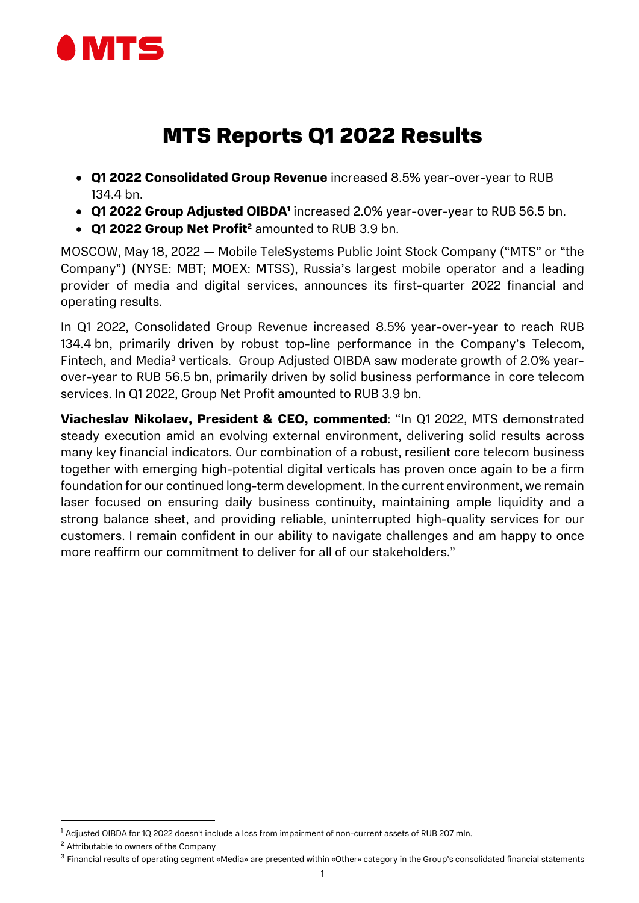

# MTS Reports Q1 2022 Results

- Q1 2022 Consolidated Group Revenue increased 8.5% year-over-year to RUB 134.4 bn.
- Q1 2022 Group Adjusted OIBDA<sup>1</sup> increased 2.0% year-over-year to RUB 56.5 bn.
- Q1 2022 Group Net Profit<sup>2</sup> amounted to RUB 3.9 bn.

MOSCOW, May 18, 2022 — Mobile TeleSystems Public Joint Stock Company ("MTS" or "the Company") (NYSE: MBT; MOEX: MTSS), Russia's largest mobile operator and a leading provider of media and digital services, announces its first-quarter 2022 financial and operating results.

In Q1 2022, Consolidated Group Revenue increased 8.5% year-over-year to reach RUB 134.4 bn, primarily driven by robust top-line performance in the Company's Telecom, Fintech, and Media<sup>3</sup> verticals. Group Adjusted OIBDA saw moderate growth of 2.0% yearover-year to RUB 56.5 bn, primarily driven by solid business performance in core telecom services. In Q1 2022, Group Net Profit amounted to RUB 3.9 bn.

Viacheslav Nikolaev, President & CEO, commented: "In Q1 2022, MTS demonstrated steady execution amid an evolving external environment, delivering solid results across many key financial indicators. Our combination of a robust, resilient core telecom business together with emerging high-potential digital verticals has proven once again to be a firm foundation for our continued long-term development. In the current environment, we remain laser focused on ensuring daily business continuity, maintaining ample liquidity and a strong balance sheet, and providing reliable, uninterrupted high-quality services for our customers. I remain confident in our ability to navigate challenges and am happy to once more reaffirm our commitment to deliver for all of our stakeholders."

 $1$  Adjusted OIBDA for 1Q 2022 doesn't include a loss from impairment of non-current assets of RUB 207 mln.

<sup>2</sup> Attributable to owners of the Company

<sup>3</sup> Financial results of operating segment «Media» are presented within «Other» category in the Group's consolidated financial statements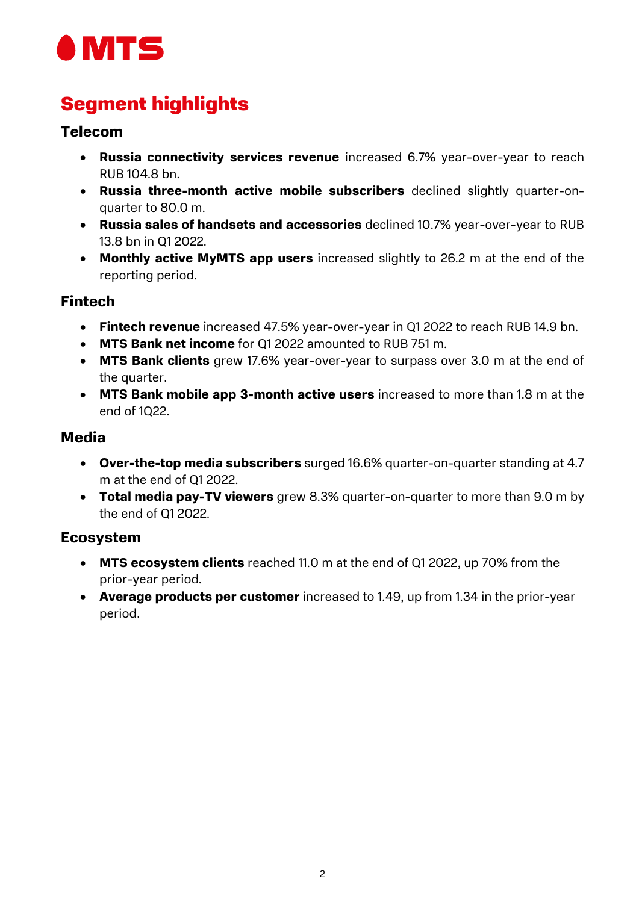

# Segment highlights

### Telecom

- Russia connectivity services revenue increased 6.7% year-over-year to reach RUB 104.8 bn.
- Russia three-month active mobile subscribers declined slightly quarter-onquarter to 80.0 m.
- Russia sales of handsets and accessories declined 10.7% year-over-year to RUB 13.8 bn in Q1 2022.
- Monthly active MyMTS app users increased slightly to 26.2 m at the end of the reporting period.

### Fintech

- Fintech revenue increased 47.5% year-over-year in Q1 2022 to reach RUB 14.9 bn.
- MTS Bank net income for Q1 2022 amounted to RUB 751 m.
- MTS Bank clients grew 17.6% year-over-year to surpass over 3.0 m at the end of the quarter.
- MTS Bank mobile app 3-month active users increased to more than 1.8 m at the end of 1Q22.

## Media

- Over-the-top media subscribers surged 16.6% quarter-on-quarter standing at 4.7 m at the end of Q1 2022.
- Total media pay-TV viewers grew 8.3% quarter-on-quarter to more than 9.0 m by the end of Q1 2022.

## Ecosystem

- MTS ecosystem clients reached 11.0 m at the end of Q1 2022, up 70% from the prior-year period.
- Average products per customer increased to 1.49, up from 1.34 in the prior-year period.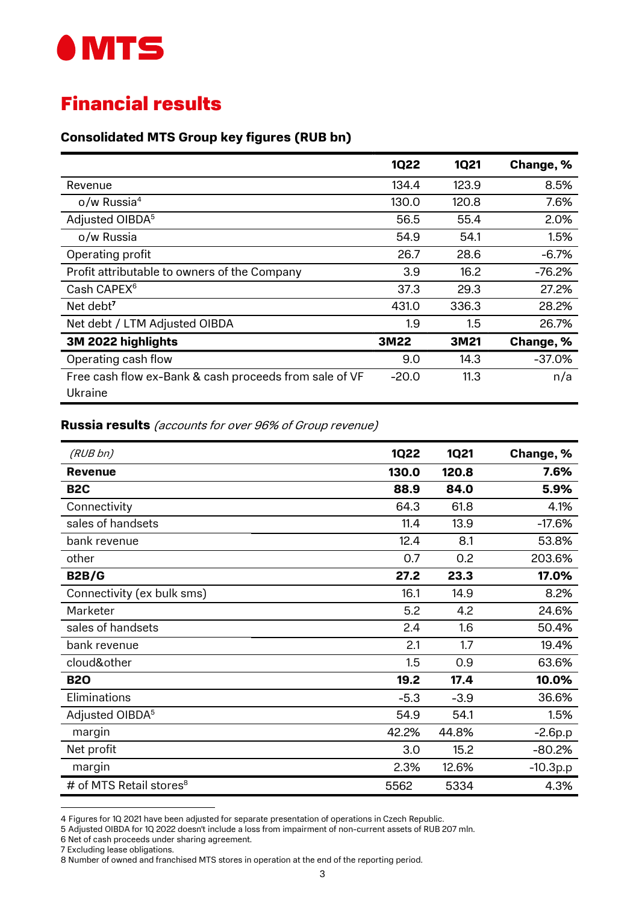

## Financial results

#### Consolidated MTS Group key figures (RUB bn)

|                                                                   | <b>1Q22</b> | <b>1Q21</b> | Change, % |
|-------------------------------------------------------------------|-------------|-------------|-----------|
| Revenue                                                           | 134.4       | 123.9       | 8.5%      |
| $o/w$ Russia <sup>4</sup>                                         | 130.0       | 120.8       | 7.6%      |
| Adjusted OIBDA <sup>5</sup>                                       | 56.5        | 55.4        | 2.0%      |
| o/w Russia                                                        | 54.9        | 54.1        | 1.5%      |
| Operating profit                                                  | 26.7        | 28.6        | $-6.7%$   |
| Profit attributable to owners of the Company                      | 3.9         | 16.2        | $-76.2%$  |
| Cash CAPEX <sup>6</sup>                                           | 37.3        | 29.3        | 27.2%     |
| Net debt <sup>7</sup>                                             | 431.0       | 336.3       | 28.2%     |
| Net debt / LTM Adjusted OIBDA                                     | 1.9         | 1.5         | 26.7%     |
| 3M 2022 highlights                                                | 3M22        | 3M21        | Change, % |
| Operating cash flow                                               | 9.0         | 14.3        | $-37.0%$  |
| Free cash flow ex-Bank & cash proceeds from sale of VF<br>Ukraine | $-20.0$     | 11.3        | n/a       |

#### Russia results (accounts for over 96% of Group revenue)

| (RUB bn)                            | <b>1Q22</b> | <b>1Q21</b> | Change, %  |
|-------------------------------------|-------------|-------------|------------|
| <b>Revenue</b>                      | 130.0       | 120.8       | 7.6%       |
| B <sub>2</sub> C                    | 88.9        | 84.0        | 5.9%       |
| Connectivity                        | 64.3        | 61.8        | 4.1%       |
| sales of handsets                   | 11.4        | 13.9        | $-17.6%$   |
| bank revenue                        | 12.4        | 8.1         | 53.8%      |
| other                               | 0.7         | 0.2         | 203.6%     |
| <b>B2B/G</b>                        | 27.2        | 23.3        | 17.0%      |
| Connectivity (ex bulk sms)          | 16.1        | 14.9        | 8.2%       |
| Marketer                            | 5.2         | 4.2         | 24.6%      |
| sales of handsets                   | 2.4         | 1.6         | 50.4%      |
| bank revenue                        | 2.1         | 1.7         | 19.4%      |
| cloud&other                         | 1.5         | 0.9         | 63.6%      |
| <b>B20</b>                          | 19.2        | 17.4        | 10.0%      |
| Eliminations                        | $-5.3$      | $-3.9$      | 36.6%      |
| Adjusted OIBDA <sup>5</sup>         | 54.9        | 54.1        | 1.5%       |
| margin                              | 42.2%       | 44.8%       | $-2.6p.p$  |
| Net profit                          | 3.0         | 15.2        | $-80.2%$   |
| margin                              | 2.3%        | 12.6%       | $-10.3p.p$ |
| # of MTS Retail stores <sup>8</sup> | 5562        | 5334        | 4.3%       |

<sup>4</sup> Figures for 1Q 2021 have been adjusted for separate presentation of operations in Czech Republic.

<sup>5</sup> Adjusted OIBDA for 1Q 2022 doesn't include a loss from impairment of non-current assets of RUB 207 mln.

<sup>6</sup> Net of cash proceeds under sharing agreement.

<sup>7</sup> Excluding lease obligations.

<sup>8</sup> Number of owned and franchised MTS stores in operation at the end of the reporting period.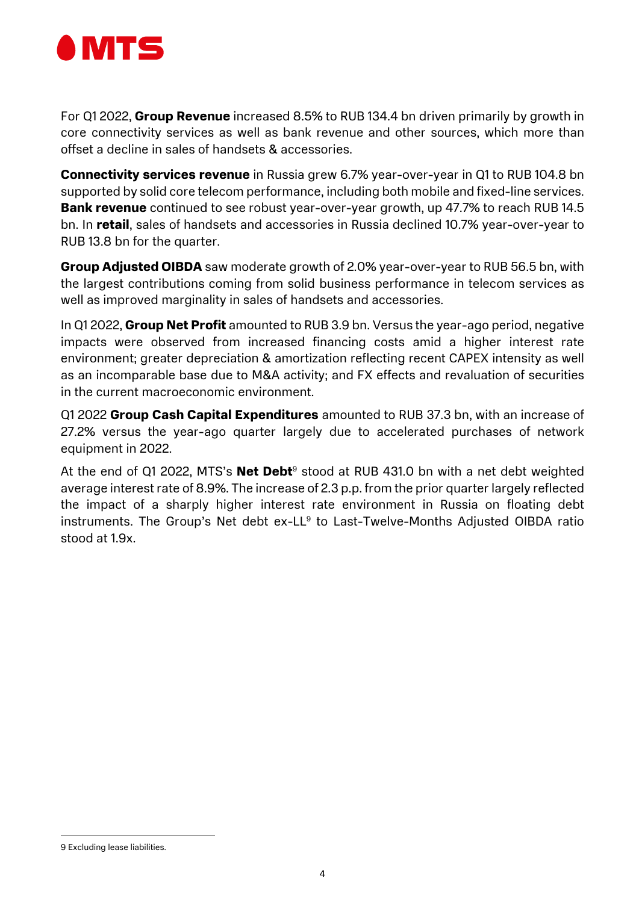

For Q1 2022, **Group Revenue** increased 8.5% to RUB 134.4 bn driven primarily by growth in core connectivity services as well as bank revenue and other sources, which more than offset a decline in sales of handsets & accessories.

Connectivity services revenue in Russia grew 6.7% year-over-year in Q1 to RUB 104.8 bn supported by solid core telecom performance, including both mobile and fixed-line services. **Bank revenue** continued to see robust year-over-year growth, up 47.7% to reach RUB 14.5 bn. In retail, sales of handsets and accessories in Russia declined 10.7% year-over-year to RUB 13.8 bn for the quarter.

Group Adjusted OIBDA saw moderate growth of 2.0% year-over-year to RUB 56.5 bn, with the largest contributions coming from solid business performance in telecom services as well as improved marginality in sales of handsets and accessories.

In Q1 2022, Group Net Profit amounted to RUB 3.9 bn. Versus the year-ago period, negative impacts were observed from increased financing costs amid a higher interest rate environment; greater depreciation & amortization reflecting recent CAPEX intensity as well as an incomparable base due to M&A activity; and FX effects and revaluation of securities in the current macroeconomic environment.

Q1 2022 Group Cash Capital Expenditures amounted to RUB 37.3 bn, with an increase of 27.2% versus the year-ago quarter largely due to accelerated purchases of network equipment in 2022.

At the end of Q1 2022, MTS's **Net Debt**<sup>9</sup> stood at RUB 431.0 bn with a net debt weighted average interest rate of 8.9%. The increase of 2.3 p.p. from the prior quarter largely reflected the impact of a sharply higher interest rate environment in Russia on floating debt instruments. The Group's Net debt ex-LL<sup>9</sup> to Last-Twelve-Months Adjusted OIBDA ratio stood at 1.9x.

<sup>9</sup> Excluding lease liabilities.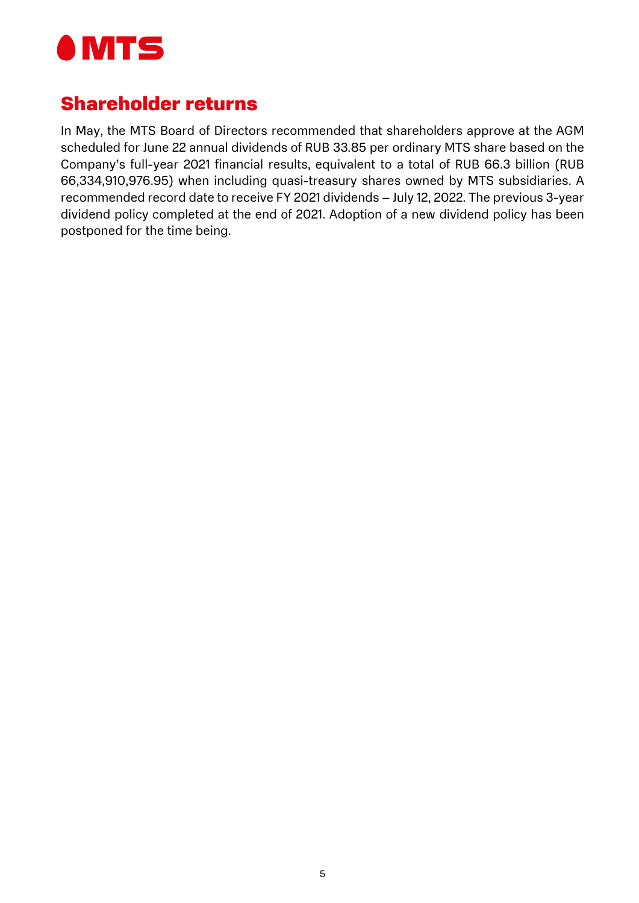

## Shareholder returns

In May, the MTS Board of Directors recommended that shareholders approve at the AGM scheduled for June 22 annual dividends of RUB 33.85 per ordinary MTS share based on the Company's full-year 2021 financial results, equivalent to a total of RUB 66.3 billion (RUB 66,334,910,976.95) when including quasi-treasury shares owned by MTS subsidiaries. A recommended record date to receive FY 2021 dividends – July 12, 2022. The previous 3-year dividend policy completed at the end of 2021. Adoption of a new dividend policy has been postponed for the time being.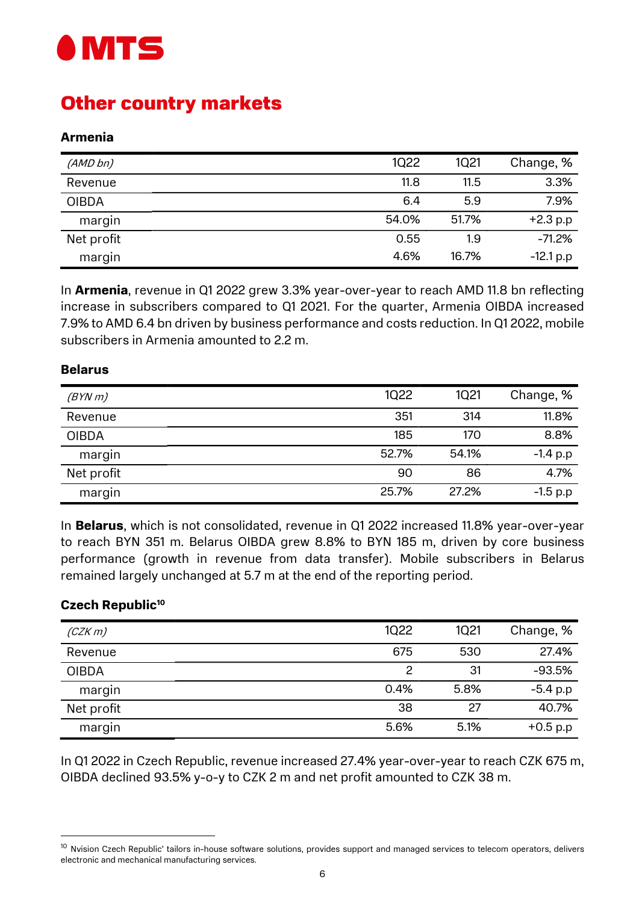

# Other country markets

#### Armenia

| (AMD bn)     | <b>1Q22</b> | <b>1Q21</b> | Change, %   |
|--------------|-------------|-------------|-------------|
| Revenue      | 11.8        | 11.5        | 3.3%        |
| <b>OIBDA</b> | 6.4         | 5.9         | 7.9%        |
| margin       | 54.0%       | 51.7%       | $+2.3 p.p$  |
| Net profit   | 0.55        | 1.9         | $-71.2%$    |
| margin       | 4.6%        | 16.7%       | $-12.1 p.p$ |

In **Armenia**, revenue in Q1 2022 grew 3.3% year-over-year to reach AMD 11.8 bn reflecting increase in subscribers compared to Q1 2021. For the quarter, Armenia OIBDA increased 7.9% to AMD 6.4 bn driven by business performance and costs reduction. In Q1 2022, mobile subscribers in Armenia amounted to 2.2 m.

#### Belarus

| (BYNm)       | <b>1Q22</b> | 1Q21  | Change, %  |
|--------------|-------------|-------|------------|
| Revenue      | 351         | 314   | 11.8%      |
| <b>OIBDA</b> | 185         | 170   | 8.8%       |
| margin       | 52.7%       | 54.1% | $-1.4 p.p$ |
| Net profit   | 90          | 86    | 4.7%       |
| margin       | 25.7%       | 27.2% | $-1.5 p.p$ |

In Belarus, which is not consolidated, revenue in Q1 2022 increased 11.8% year-over-year to reach BYN 351 m. Belarus OIBDA grew 8.8% to BYN 185 m, driven by core business performance (growth in revenue from data transfer). Mobile subscribers in Belarus remained largely unchanged at 5.7 m at the end of the reporting period.

#### Czech Republic<sup>10</sup>

-

| (CZKm)       | 1022 | 1Q21 | Change, %  |
|--------------|------|------|------------|
| Revenue      | 675  | 530  | 27.4%      |
| <b>OIBDA</b> | 2    | 31   | $-93.5%$   |
| margin       | 0.4% | 5.8% | $-5.4 p.p$ |
| Net profit   | 38   | 27   | 40.7%      |
| margin       | 5.6% | 5.1% | $+0.5 p.p$ |

In Q1 2022 in Czech Republic, revenue increased 27.4% year-over-year to reach CZK 675 m, OIBDA declined 93.5% y-o-y to CZK 2 m and net profit amounted to CZK 38 m.

<sup>&</sup>lt;sup>10</sup> Nvision Czech Republic' tailors in-house software solutions, provides support and managed services to telecom operators, delivers electronic and mechanical manufacturing services.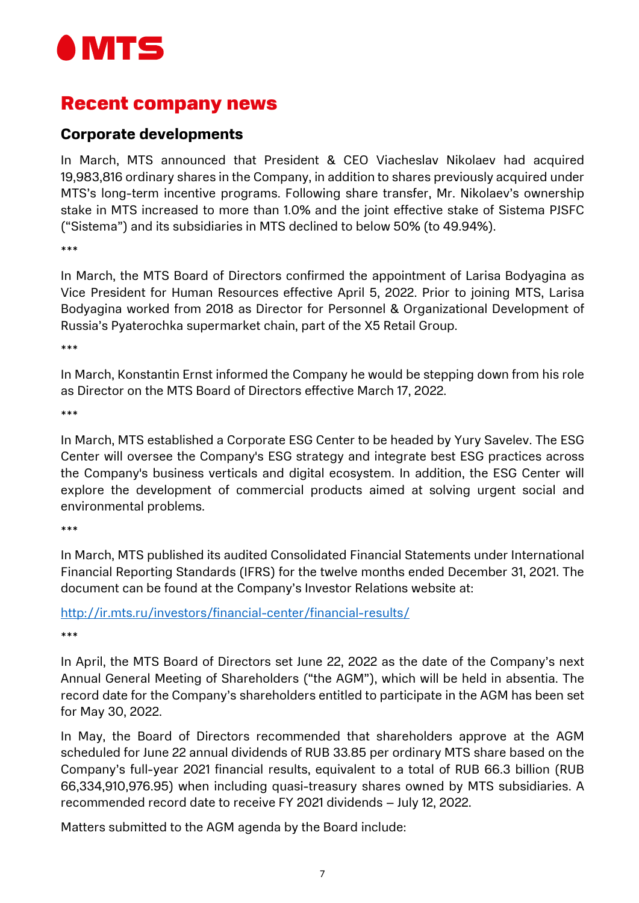

## Recent company news

## Corporate developments

In March, MTS announced that President & CEO Viacheslav Nikolaev had acquired 19,983,816 ordinary shares in the Company, in addition to shares previously acquired under MTS's long-term incentive programs. Following share transfer, Mr. Nikolaev's ownership stake in MTS increased to more than 1.0% and the joint effective stake of Sistema PJSFC ("Sistema") and its subsidiaries in MTS declined to below 50% (to 49.94%).

\*\*\*

In March, the MTS Board of Directors confirmed the appointment of Larisa Bodyagina as Vice President for Human Resources effective April 5, 2022. Prior to joining MTS, Larisa Bodyagina worked from 2018 as Director for Personnel & Organizational Development of Russia's Pyaterochka supermarket chain, part of the X5 Retail Group.

\*\*\*

In March, Konstantin Ernst informed the Company he would be stepping down from his role as Director on the MTS Board of Directors effective March 17, 2022.

\*\*\*

In March, MTS established a Corporate ESG Center to be headed by Yury Savelev. The ESG Center will oversee the Company's ESG strategy and integrate best ESG practices across the Company's business verticals and digital ecosystem. In addition, the ESG Center will explore the development of commercial products aimed at solving urgent social and environmental problems.

\*\*\*

In March, MTS published its audited Consolidated Financial Statements under International Financial Reporting Standards (IFRS) for the twelve months ended December 31, 2021. The document can be found at the Company's Investor Relations website at:

http://ir.mts.ru/investors/financial-center/financial-results/

\*\*\*

In April, the MTS Board of Directors set June 22, 2022 as the date of the Company's next Annual General Meeting of Shareholders ("the AGM"), which will be held in absentia. The record date for the Company's shareholders entitled to participate in the AGM has been set for May 30, 2022.

In May, the Board of Directors recommended that shareholders approve at the AGM scheduled for June 22 annual dividends of RUB 33.85 per ordinary MTS share based on the Company's full-year 2021 financial results, equivalent to a total of RUB 66.3 billion (RUB 66,334,910,976.95) when including quasi-treasury shares owned by MTS subsidiaries. A recommended record date to receive FY 2021 dividends – July 12, 2022.

Matters submitted to the AGM agenda by the Board include: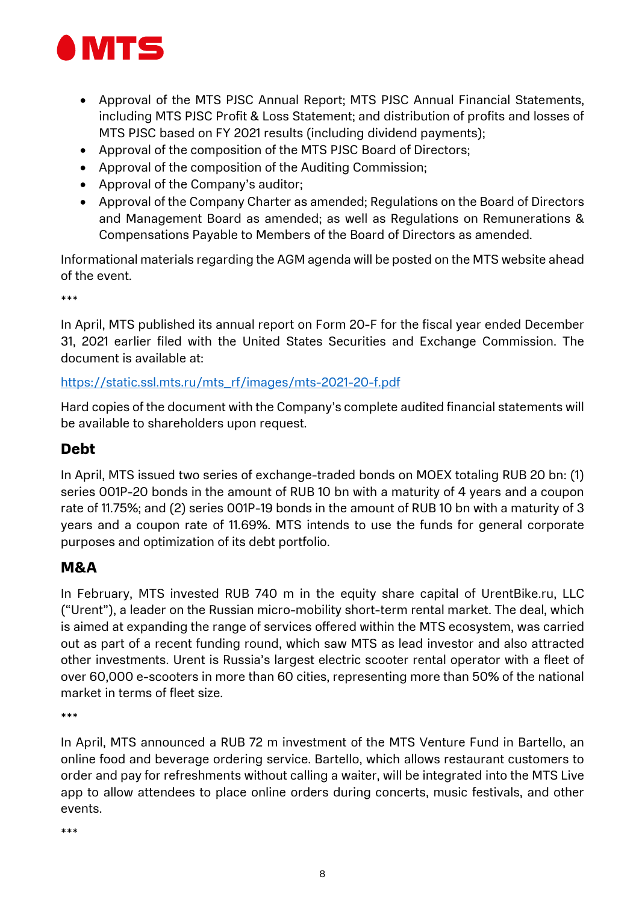

- Approval of the MTS PJSC Annual Report; MTS PJSC Annual Financial Statements, including MTS PJSC Profit & Loss Statement; and distribution of profits and losses of MTS PJSC based on FY 2021 results (including dividend payments);
- Approval of the composition of the MTS PJSC Board of Directors;
- Approval of the composition of the Auditing Commission;
- Approval of the Company's auditor;
- Approval of the Company Charter as amended; Regulations on the Board of Directors and Management Board as amended; as well as Regulations on Remunerations & Compensations Payable to Members of the Board of Directors as amended.

Informational materials regarding the AGM agenda will be posted on the MTS website ahead of the event.

\*\*\*

In April, MTS published its annual report on Form 20-F for the fiscal year ended December 31, 2021 earlier filed with the United States Securities and Exchange Commission. The document is available at:

#### https://static.ssl.mts.ru/mts\_rf/images/mts-2021-20-f.pdf

Hard copies of the document with the Company's complete audited financial statements will be available to shareholders upon request.

### Debt

In April, MTS issued two series of exchange-traded bonds on MOEX totaling RUB 20 bn: (1) series 001P-20 bonds in the amount of RUB 10 bn with a maturity of 4 years and a coupon rate of 11.75%; and (2) series 001P-19 bonds in the amount of RUB 10 bn with a maturity of 3 years and a coupon rate of 11.69%. MTS intends to use the funds for general corporate purposes and optimization of its debt portfolio.

## M&A

In February, MTS invested RUB 740 m in the equity share capital of UrentBike.ru, LLC ("Urent"), a leader on the Russian micro-mobility short-term rental market. The deal, which is aimed at expanding the range of services offered within the MTS ecosystem, was carried out as part of a recent funding round, which saw MTS as lead investor and also attracted other investments. Urent is Russia's largest electric scooter rental operator with a fleet of over 60,000 e-scooters in more than 60 cities, representing more than 50% of the national market in terms of fleet size.

\*\*\*

In April, MTS announced a RUB 72 m investment of the MTS Venture Fund in Bartello, an online food and beverage ordering service. Bartello, which allows restaurant customers to order and pay for refreshments without calling a waiter, will be integrated into the MTS Live app to allow attendees to place online orders during concerts, music festivals, and other events.

\*\*\*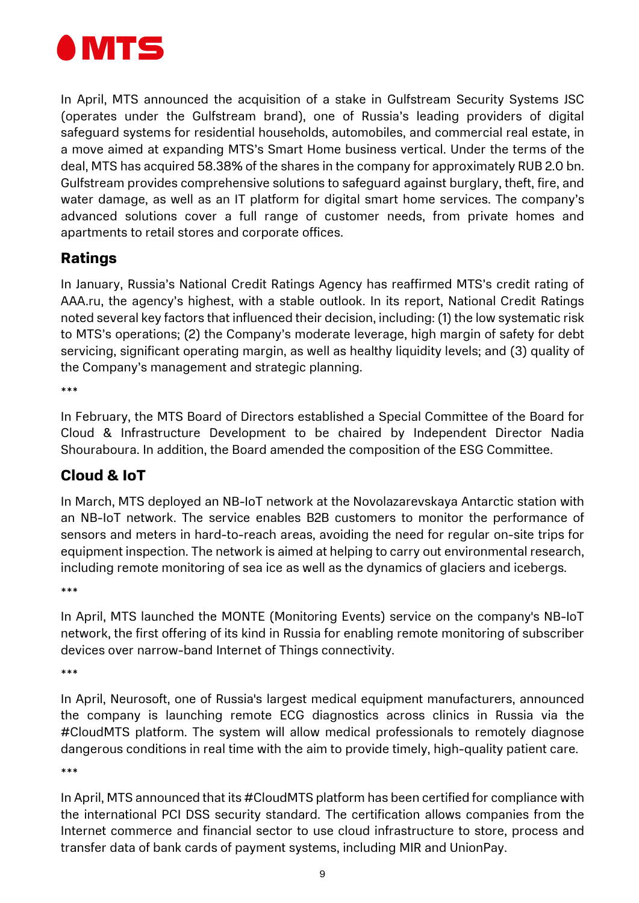

In April, MTS announced the acquisition of a stake in Gulfstream Security Systems JSC (operates under the Gulfstream brand), one of Russia's leading providers of digital safeguard systems for residential households, automobiles, and commercial real estate, in a move aimed at expanding MTS's Smart Home business vertical. Under the terms of the deal, MTS has acquired 58.38% of the shares in the company for approximately RUB 2.0 bn. Gulfstream provides comprehensive solutions to safeguard against burglary, theft, fire, and water damage, as well as an IT platform for digital smart home services. The company's advanced solutions cover a full range of customer needs, from private homes and apartments to retail stores and corporate offices.

## Ratings

In January, Russia's National Credit Ratings Agency has reaffirmed MTS's credit rating of AAA.ru, the agency's highest, with a stable outlook. In its report, National Credit Ratings noted several key factors that influenced their decision, including: (1) the low systematic risk to MTS's operations; (2) the Company's moderate leverage, high margin of safety for debt servicing, significant operating margin, as well as healthy liquidity levels; and (3) quality of the Company's management and strategic planning.

\*\*\*

In February, the MTS Board of Directors established a Special Committee of the Board for Cloud & Infrastructure Development to be chaired by Independent Director Nadia Shouraboura. In addition, the Board amended the composition of the ESG Committee.

## Cloud & IoT

In March, MTS deployed an NB-IoT network at the Novolazarevskaya Antarctic station with an NB-IoT network. The service enables B2B customers to monitor the performance of sensors and meters in hard-to-reach areas, avoiding the need for regular on-site trips for equipment inspection. The network is aimed at helping to carry out environmental research, including remote monitoring of sea ice as well as the dynamics of glaciers and icebergs.

\*\*\*

In April, MTS launched the MONTE (Monitoring Events) service on the company's NB-IoT network, the first offering of its kind in Russia for enabling remote monitoring of subscriber devices over narrow-band Internet of Things connectivity.

\*\*\*

In April, Neurosoft, one of Russia's largest medical equipment manufacturers, announced the company is launching remote ECG diagnostics across clinics in Russia via the #CloudMTS platform. The system will allow medical professionals to remotely diagnose dangerous conditions in real time with the aim to provide timely, high-quality patient care.

\*\*\*

In April, MTS announced that its #CloudMTS platform has been certified for compliance with the international PCI DSS security standard. The certification allows companies from the Internet commerce and financial sector to use cloud infrastructure to store, process and transfer data of bank cards of payment systems, including MIR and UnionPay.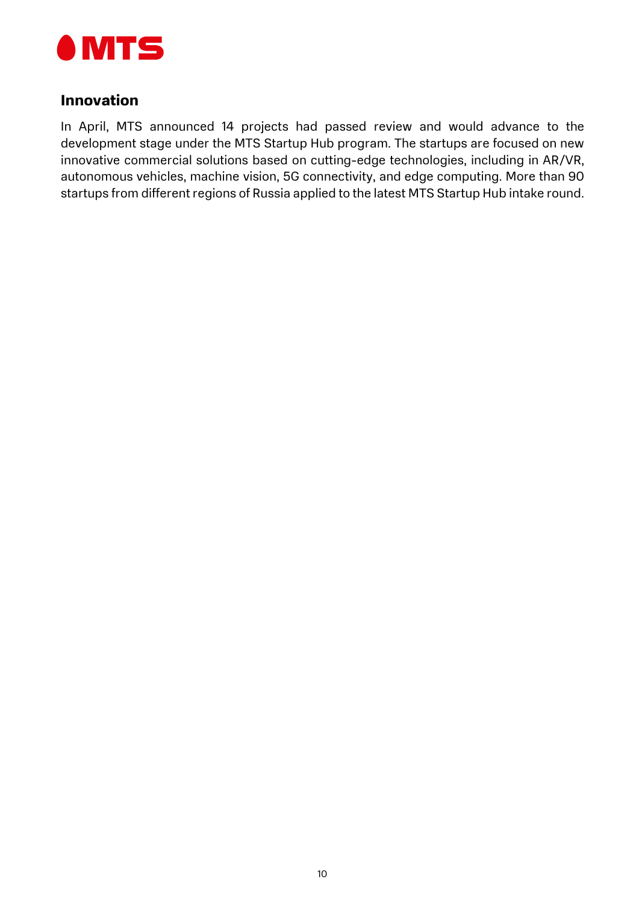

#### Innovation

In April, MTS announced 14 projects had passed review and would advance to the development stage under the MTS Startup Hub program. The startups are focused on new innovative commercial solutions based on cutting-edge technologies, including in AR/VR, autonomous vehicles, machine vision, 5G connectivity, and edge computing. More than 90 startups from different regions of Russia applied to the latest MTS Startup Hub intake round.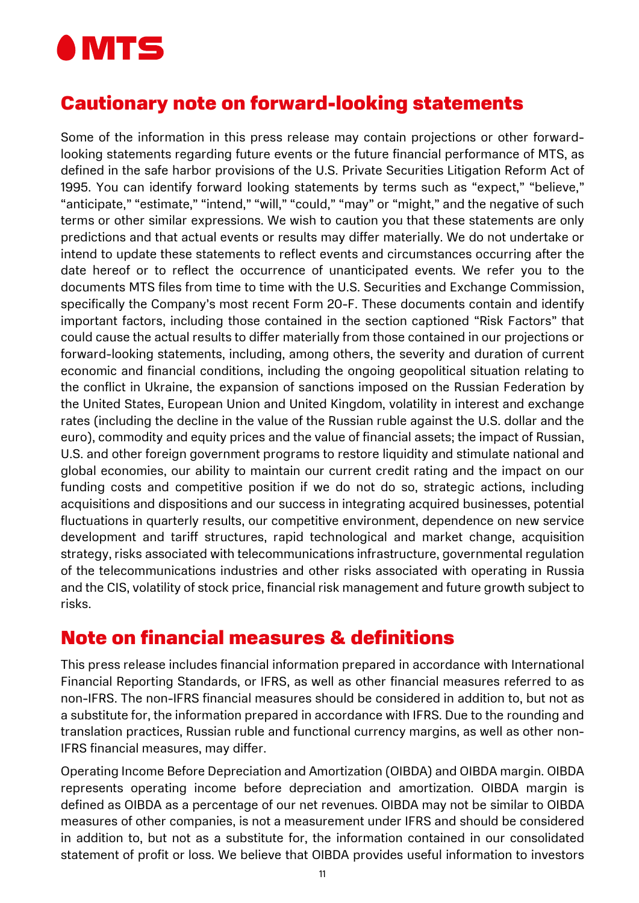

## Cautionary note on forward-looking statements

Some of the information in this press release may contain projections or other forwardlooking statements regarding future events or the future financial performance of MTS, as defined in the safe harbor provisions of the U.S. Private Securities Litigation Reform Act of 1995. You can identify forward looking statements by terms such as "expect," "believe," "anticipate," "estimate," "intend," "will," "could," "may" or "might," and the negative of such terms or other similar expressions. We wish to caution you that these statements are only predictions and that actual events or results may differ materially. We do not undertake or intend to update these statements to reflect events and circumstances occurring after the date hereof or to reflect the occurrence of unanticipated events. We refer you to the documents MTS files from time to time with the U.S. Securities and Exchange Commission, specifically the Company's most recent Form 20-F. These documents contain and identify important factors, including those contained in the section captioned "Risk Factors" that could cause the actual results to differ materially from those contained in our projections or forward-looking statements, including, among others, the severity and duration of current economic and financial conditions, including the ongoing geopolitical situation relating to the conflict in Ukraine, the expansion of sanctions imposed on the Russian Federation by the United States, European Union and United Kingdom, volatility in interest and exchange rates (including the decline in the value of the Russian ruble against the U.S. dollar and the euro), commodity and equity prices and the value of financial assets; the impact of Russian, U.S. and other foreign government programs to restore liquidity and stimulate national and global economies, our ability to maintain our current credit rating and the impact on our funding costs and competitive position if we do not do so, strategic actions, including acquisitions and dispositions and our success in integrating acquired businesses, potential fluctuations in quarterly results, our competitive environment, dependence on new service development and tariff structures, rapid technological and market change, acquisition strategy, risks associated with telecommunications infrastructure, governmental regulation of the telecommunications industries and other risks associated with operating in Russia and the CIS, volatility of stock price, financial risk management and future growth subject to risks.

## Note on financial measures & definitions

This press release includes financial information prepared in accordance with International Financial Reporting Standards, or IFRS, as well as other financial measures referred to as non-IFRS. The non-IFRS financial measures should be considered in addition to, but not as a substitute for, the information prepared in accordance with IFRS. Due to the rounding and translation practices, Russian ruble and functional currency margins, as well as other non-IFRS financial measures, may differ.

Operating Income Before Depreciation and Amortization (OIBDA) and OIBDA margin. OIBDA represents operating income before depreciation and amortization. OIBDA margin is defined as OIBDA as a percentage of our net revenues. OIBDA may not be similar to OIBDA measures of other companies, is not a measurement under IFRS and should be considered in addition to, but not as a substitute for, the information contained in our consolidated statement of profit or loss. We believe that OIBDA provides useful information to investors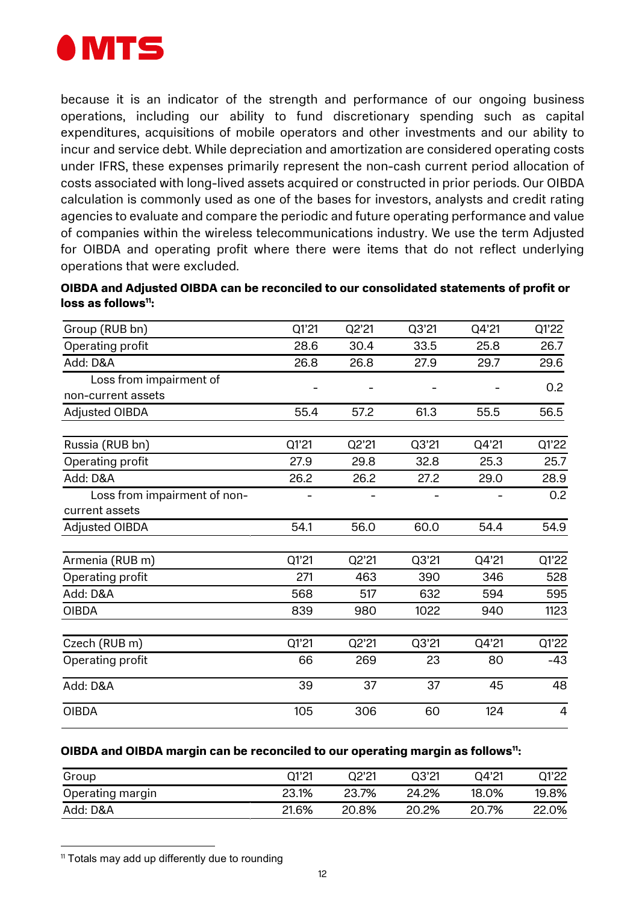

because it is an indicator of the strength and performance of our ongoing business operations, including our ability to fund discretionary spending such as capital expenditures, acquisitions of mobile operators and other investments and our ability to incur and service debt. While depreciation and amortization are considered operating costs under IFRS, these expenses primarily represent the non-cash current period allocation of costs associated with long-lived assets acquired or constructed in prior periods. Our OIBDA calculation is commonly used as one of the bases for investors, analysts and credit rating agencies to evaluate and compare the periodic and future operating performance and value of companies within the wireless telecommunications industry. We use the term Adjusted for OIBDA and operating profit where there were items that do not reflect underlying operations that were excluded.

| OIBDA and Adjusted OIBDA can be reconciled to our consolidated statements of profit or |  |
|----------------------------------------------------------------------------------------|--|
| loss as follows <sup>11</sup> :                                                        |  |

| Group (RUB bn)                                 | Q1'21          | Q2'21 | Q3'21 | Q4'21 | Q1'22          |
|------------------------------------------------|----------------|-------|-------|-------|----------------|
| Operating profit                               | 28.6           | 30.4  | 33.5  | 25.8  | 26.7           |
| Add: D&A                                       | 26.8           | 26.8  | 27.9  | 29.7  | 29.6           |
| Loss from impairment of                        |                |       |       |       | 0.2            |
| non-current assets                             |                |       |       |       |                |
| Adjusted OIBDA                                 | 55.4           | 57.2  | 61.3  | 55.5  | 56.5           |
| Russia (RUB bn)                                | Q1'21          | Q2'21 | Q3'21 | Q4'21 | Q1'22          |
| Operating profit                               | 27.9           | 29.8  | 32.8  | 25.3  | 25.7           |
| Add: D&A                                       | 26.2           | 26.2  | 27.2  | 29.0  | 28.9           |
| Loss from impairment of non-<br>current assets | $\overline{a}$ |       |       | -     | 0.2            |
| <b>Adjusted OIBDA</b>                          | 54.1           | 56.0  | 60.0  | 54.4  | 54.9           |
| Armenia (RUB m)                                | Q1'21          | Q2'21 | Q3'21 | Q4'21 | Q1'22          |
| Operating profit                               | 271            | 463   | 390   | 346   | 528            |
| Add: D&A                                       | 568            | 517   | 632   | 594   | 595            |
| <b>OIBDA</b>                                   | 839            | 980   | 1022  | 940   | 1123           |
| Czech (RUB m)                                  | Q1'21          | Q2'21 | Q3'21 | Q4'21 | Q1'22          |
| Operating profit                               | 66             | 269   | 23    | 80    | $-43$          |
| Add: D&A                                       | 39             | 37    | 37    | 45    | 48             |
| <b>OIBDA</b>                                   | 105            | 306   | 60    | 124   | $\overline{4}$ |

#### OIBDA and OIBDA margin can be reconciled to our operating margin as follows<sup>11</sup>:

| Group            | Q1'21 | 22'21 | Q3'21 | O4'21 | Q1'22 |
|------------------|-------|-------|-------|-------|-------|
| Operating margin | 23.1% | 23.7% | 24.2% | 18.0% | 19.8% |
| Add: D&A         | 21.6% | 20.8% | 20.2% | 20.7% | 22.0% |

<sup>&</sup>lt;sup>11</sup> Totals may add up differently due to rounding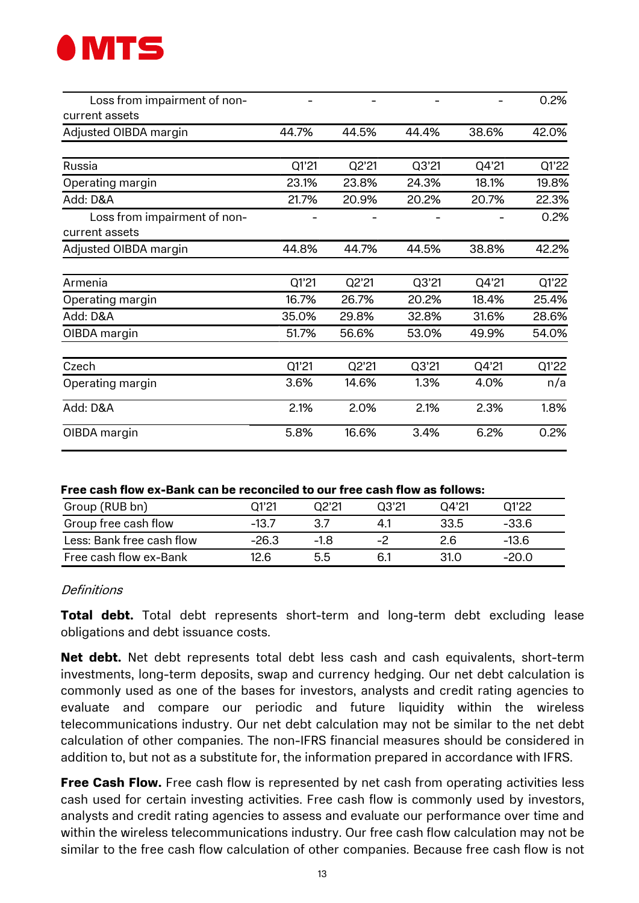

| Loss from impairment of non-                   |       |       |       |       | 0.2%  |
|------------------------------------------------|-------|-------|-------|-------|-------|
| current assets                                 |       |       |       |       |       |
| Adjusted OIBDA margin                          | 44.7% | 44.5% | 44.4% | 38.6% | 42.0% |
| Russia                                         | Q1'21 | Q2'21 | Q3'21 | Q4'21 | Q1'22 |
| Operating margin                               | 23.1% | 23.8% | 24.3% | 18.1% | 19.8% |
| Add: D&A                                       | 21.7% | 20.9% | 20.2% | 20.7% | 22.3% |
| Loss from impairment of non-<br>current assets |       |       |       |       | 0.2%  |
| Adjusted OIBDA margin                          | 44.8% | 44.7% | 44.5% | 38.8% | 42.2% |
| Armenia                                        | Q1'21 | Q2'21 | Q3'21 | Q4'21 | Q1'22 |
| Operating margin                               | 16.7% | 26.7% | 20.2% | 18.4% | 25.4% |
| Add: D&A                                       | 35.0% | 29.8% | 32.8% | 31.6% | 28.6% |
| OIBDA margin                                   | 51.7% | 56.6% | 53.0% | 49.9% | 54.0% |
| Czech                                          | Q1'21 | Q2'21 | Q3'21 | Q4'21 | Q1'22 |
| Operating margin                               | 3.6%  | 14.6% | 1.3%  | 4.0%  | n/a   |
| Add: D&A                                       | 2.1%  | 2.0%  | 2.1%  | 2.3%  | 1.8%  |
| OIBDA margin                                   | 5.8%  | 16.6% | 3.4%  | 6.2%  | 0.2%  |

| Group (RUB bn)            | D1'21   | N2'21  | 03'21 | O4'21 | O1'22   |
|---------------------------|---------|--------|-------|-------|---------|
| Group free cash flow      | $-13.7$ |        | 4.1   | 33.5  | -33.6   |
| Less: Bank free cash flow | -26.3   | $-1.8$ | $-2$  | 2.6   | $-13.6$ |
| Free cash flow ex-Bank    | 12 G    | 5.5    | 6.1   | 31.0  | -20.0   |

#### Definitions

Total debt. Total debt represents short-term and long-term debt excluding lease obligations and debt issuance costs.

Net debt. Net debt represents total debt less cash and cash equivalents, short-term investments, long-term deposits, swap and currency hedging. Our net debt calculation is commonly used as one of the bases for investors, analysts and credit rating agencies to evaluate and compare our periodic and future liquidity within the wireless telecommunications industry. Our net debt calculation may not be similar to the net debt calculation of other companies. The non-IFRS financial measures should be considered in addition to, but not as a substitute for, the information prepared in accordance with IFRS.

Free Cash Flow. Free cash flow is represented by net cash from operating activities less cash used for certain investing activities. Free cash flow is commonly used by investors, analysts and credit rating agencies to assess and evaluate our performance over time and within the wireless telecommunications industry. Our free cash flow calculation may not be similar to the free cash flow calculation of other companies. Because free cash flow is not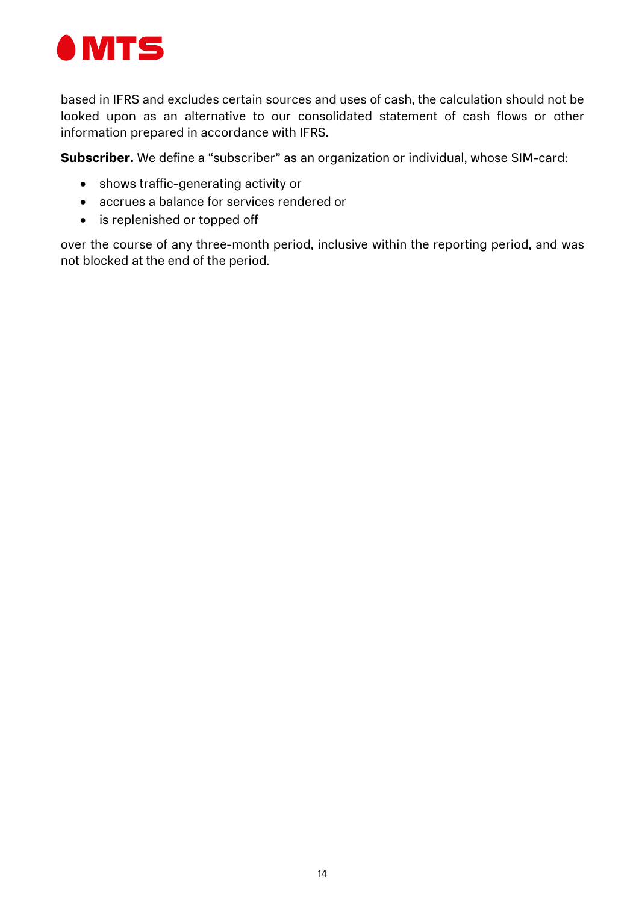

based in IFRS and excludes certain sources and uses of cash, the calculation should not be looked upon as an alternative to our consolidated statement of cash flows or other information prepared in accordance with IFRS.

Subscriber. We define a "subscriber" as an organization or individual, whose SIM-card:

- shows traffic-generating activity or
- accrues a balance for services rendered or
- is replenished or topped off

over the course of any three-month period, inclusive within the reporting period, and was not blocked at the end of the period.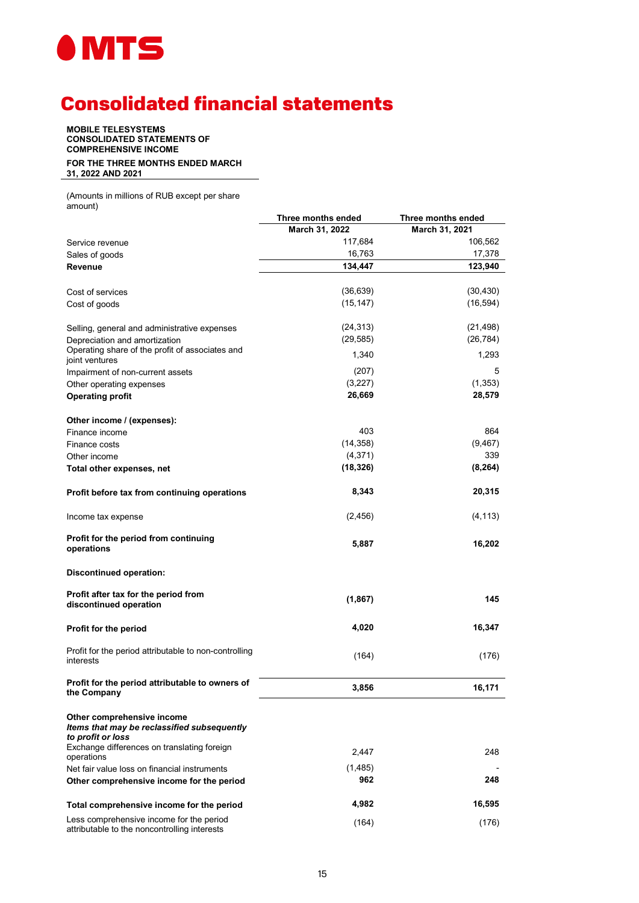

# Consolidated financial statements

MOBILE TELESYSTEMS CONSOLIDATED STATEMENTS OF COMPREHENSIVE INCOME FOR THE THREE MONTHS ENDED MARCH 31, 2022 AND 2021

(Amounts in millions of RUB except per share amount)

|                                                                                                | Three months ended | Three months ended |
|------------------------------------------------------------------------------------------------|--------------------|--------------------|
|                                                                                                | March 31, 2022     | March 31, 2021     |
| Service revenue                                                                                | 117,684            | 106,562            |
| Sales of goods                                                                                 | 16,763             | 17,378             |
| Revenue                                                                                        | 134,447            | 123,940            |
|                                                                                                |                    |                    |
| Cost of services                                                                               | (36, 639)          | (30, 430)          |
| Cost of goods                                                                                  | (15, 147)          | (16, 594)          |
|                                                                                                |                    |                    |
| Selling, general and administrative expenses                                                   | (24, 313)          | (21, 498)          |
| Depreciation and amortization                                                                  | (29, 585)          | (26, 784)          |
| Operating share of the profit of associates and                                                |                    |                    |
| joint ventures                                                                                 | 1,340              | 1,293              |
| Impairment of non-current assets                                                               | (207)              | 5                  |
| Other operating expenses                                                                       | (3,227)            | (1, 353)           |
| <b>Operating profit</b>                                                                        | 26,669             | 28,579             |
|                                                                                                |                    |                    |
| Other income / (expenses):                                                                     | 403                | 864                |
| Finance income                                                                                 | (14, 358)          | (9, 467)           |
| Finance costs                                                                                  |                    | 339                |
| Other income                                                                                   | (4, 371)           |                    |
| Total other expenses, net                                                                      | (18, 326)          | (8, 264)           |
| Profit before tax from continuing operations                                                   | 8,343              | 20,315             |
| Income tax expense                                                                             | (2, 456)           | (4, 113)           |
| Profit for the period from continuing<br>operations                                            | 5,887              | 16,202             |
| Discontinued operation:                                                                        |                    |                    |
| Profit after tax for the period from<br>discontinued operation                                 | (1,867)            | 145                |
| Profit for the period                                                                          | 4,020              | 16,347             |
| Profit for the period attributable to non-controlling<br>interests                             | (164)              | (176)              |
| Profit for the period attributable to owners of<br>the Company                                 | 3,856              | 16,171             |
| Other comprehensive income<br>Items that may be reclassified subsequently<br>to profit or loss |                    |                    |
| Exchange differences on translating foreign<br>operations                                      | 2,447              | 248                |
| Net fair value loss on financial instruments                                                   | (1,485)            |                    |
| Other comprehensive income for the period                                                      | 962                | 248                |
| Total comprehensive income for the period                                                      | 4,982              | 16,595             |
| Less comprehensive income for the period<br>attributable to the noncontrolling interests       | (164)              | (176)              |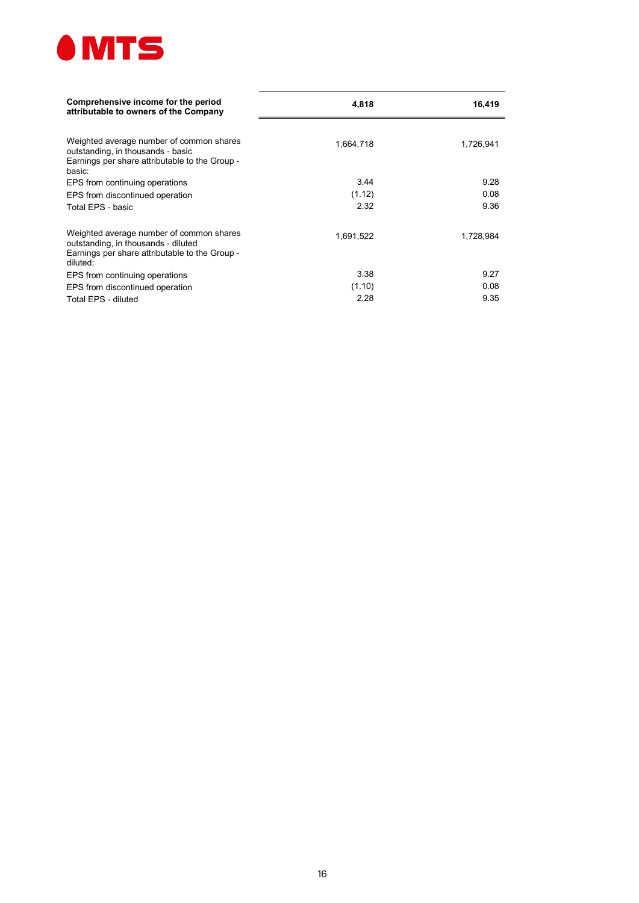

| Comprehensive income for the period<br>attributable to owners of the Company                                                                  | 4,818     | 16,419    |
|-----------------------------------------------------------------------------------------------------------------------------------------------|-----------|-----------|
| Weighted average number of common shares<br>outstanding, in thousands - basic<br>Earnings per share attributable to the Group -<br>basic:     | 1,664,718 | 1,726,941 |
| EPS from continuing operations                                                                                                                | 3.44      | 9.28      |
| EPS from discontinued operation                                                                                                               | (1.12)    | 0.08      |
| Total EPS - basic                                                                                                                             | 2.32      | 9.36      |
| Weighted average number of common shares<br>outstanding, in thousands - diluted<br>Earnings per share attributable to the Group -<br>diluted: | 1,691,522 | 1,728,984 |
| EPS from continuing operations                                                                                                                | 3.38      | 9.27      |
| EPS from discontinued operation                                                                                                               | (1.10)    | 0.08      |
| Total EPS - diluted                                                                                                                           | 2.28      | 9.35      |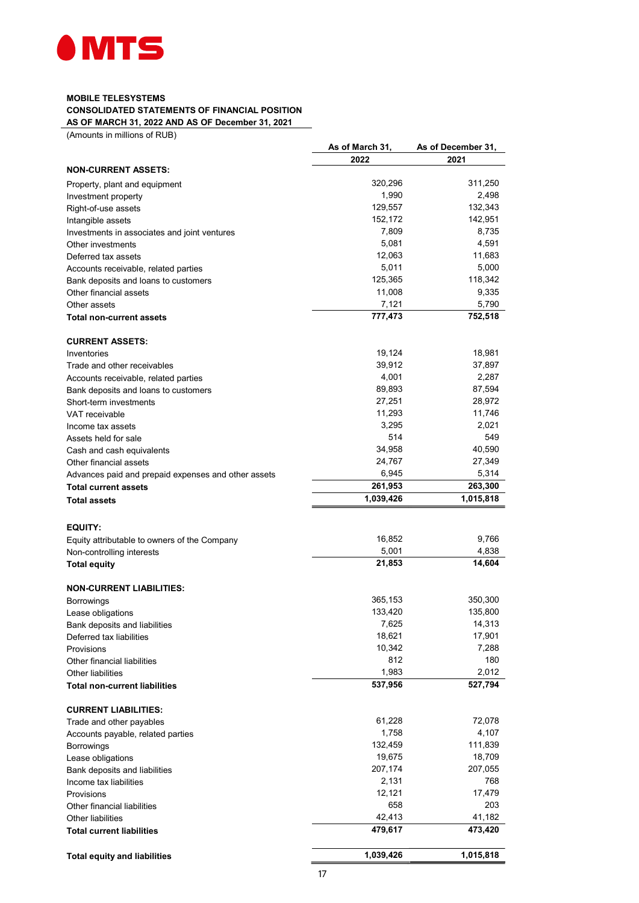

#### MOBILE TELESYSTEMS CONSOLIDATED STATEMENTS OF FINANCIAL POSITION AS OF MARCH 31, 2022 AND AS OF December 31, 2021

(Amounts in millions of RUB)

|                                                     | As of March 31, | As of December 31, |
|-----------------------------------------------------|-----------------|--------------------|
|                                                     | 2022            | 2021               |
| <b>NON-CURRENT ASSETS:</b>                          |                 |                    |
| Property, plant and equipment                       | 320,296         | 311,250            |
| Investment property                                 | 1,990           | 2,498              |
| Right-of-use assets                                 | 129,557         | 132,343            |
| Intangible assets                                   | 152,172         | 142,951            |
| Investments in associates and joint ventures        | 7,809           | 8,735              |
| Other investments                                   | 5,081           | 4,591              |
| Deferred tax assets                                 | 12,063          | 11,683             |
| Accounts receivable, related parties                | 5,011           | 5,000              |
| Bank deposits and loans to customers                | 125,365         | 118,342            |
| Other financial assets                              | 11,008          | 9,335              |
| Other assets                                        | 7,121           | 5,790              |
|                                                     |                 |                    |
| <b>Total non-current assets</b>                     | 777,473         | 752,518            |
|                                                     |                 |                    |
| <b>CURRENT ASSETS:</b>                              |                 |                    |
| Inventories                                         | 19,124          | 18,981             |
| Trade and other receivables                         | 39,912          | 37,897             |
| Accounts receivable, related parties                | 4,001           | 2,287              |
| Bank deposits and loans to customers                | 89,893          | 87,594             |
| Short-term investments                              | 27,251          | 28,972             |
| <b>VAT</b> receivable                               | 11,293          | 11,746             |
| Income tax assets                                   | 3,295           | 2,021              |
| Assets held for sale                                | 514             | 549                |
| Cash and cash equivalents                           | 34,958          | 40,590             |
| Other financial assets                              | 24,767          | 27,349             |
| Advances paid and prepaid expenses and other assets | 6,945           | 5,314              |
| <b>Total current assets</b>                         | 261,953         | 263,300            |
| <b>Total assets</b>                                 | 1,039,426       | 1,015,818          |
|                                                     |                 |                    |
|                                                     |                 |                    |
| <b>EQUITY:</b>                                      |                 |                    |
| Equity attributable to owners of the Company        | 16,852          | 9,766              |
| Non-controlling interests                           | 5,001           | 4,838              |
| <b>Total equity</b>                                 | 21,853          | 14,604             |
|                                                     |                 |                    |
| <b>NON-CURRENT LIABILITIES:</b>                     |                 |                    |
| <b>Borrowings</b>                                   | 365,153         | 350,300            |
| Lease obligations                                   | 133,420         | 135,800            |
| Bank deposits and liabilities                       | 7,625           | 14,313             |
| Deferred tax liabilities                            | 18,621          | 17,901             |
| Provisions                                          | 10,342          | 7,288              |
| Other financial liabilities                         | 812             | 180                |
| <b>Other liabilities</b>                            | 1,983           | 2,012              |
| <b>Total non-current liabilities</b>                | 537,956         | 527,794            |
|                                                     |                 |                    |
| <b>CURRENT LIABILITIES:</b>                         |                 |                    |
| Trade and other payables                            | 61,228          | 72,078             |
| Accounts payable, related parties                   | 1,758           | 4,107              |
| <b>Borrowings</b>                                   | 132,459         | 111,839            |
| Lease obligations                                   | 19,675          | 18,709             |
| Bank deposits and liabilities                       | 207,174         | 207,055            |
| Income tax liabilities                              | 2,131           | 768                |
| Provisions                                          | 12,121          | 17,479             |
| Other financial liabilities                         | 658             | 203                |
| Other liabilities                                   | 42,413          | 41,182             |
|                                                     | 479,617         | 473,420            |
| <b>Total current liabilities</b>                    |                 |                    |
|                                                     | 1,039,426       | 1,015,818          |
| <b>Total equity and liabilities</b>                 |                 |                    |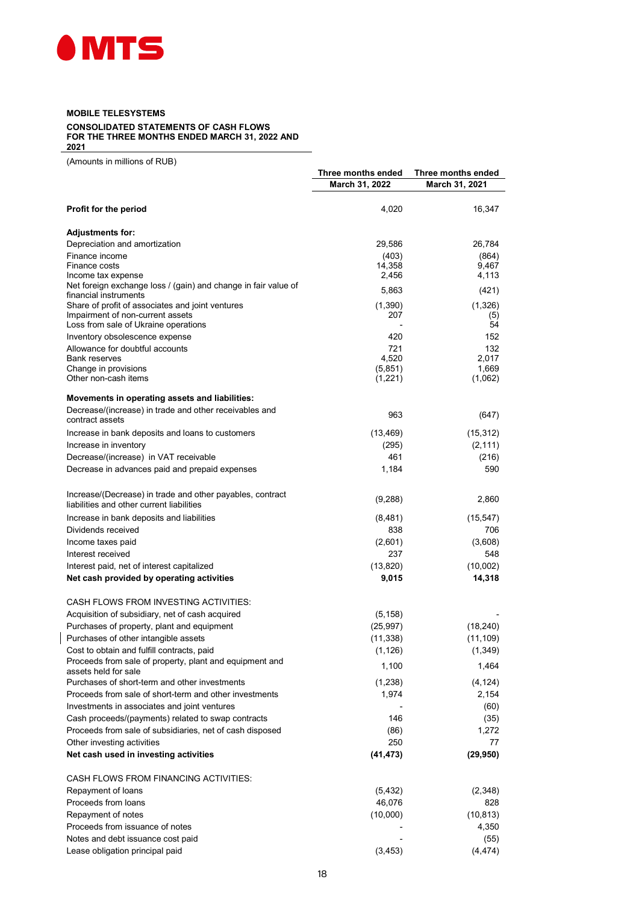

#### MOBILE TELESYSTEMS

CONSOLIDATED STATEMENTS OF CASH FLOWS FOR THE THREE MONTHS ENDED MARCH 31, 2022 AND 2021

(Amounts in millions of RUB)

 $\overline{\phantom{a}}$ 

|                                                                                                        |                    | Three months ended |
|--------------------------------------------------------------------------------------------------------|--------------------|--------------------|
|                                                                                                        | March 31, 2022     | March 31, 2021     |
| Profit for the period                                                                                  | 4,020              | 16,347             |
|                                                                                                        |                    |                    |
| <b>Adjustments for:</b>                                                                                |                    |                    |
| Depreciation and amortization                                                                          | 29,586             | 26,784             |
| Finance income<br>Finance costs                                                                        | (403)<br>14,358    | (864)<br>9,467     |
| Income tax expense                                                                                     | 2,456              | 4,113              |
| Net foreign exchange loss / (gain) and change in fair value of                                         |                    |                    |
| financial instruments                                                                                  | 5,863              | (421)              |
| Share of profit of associates and joint ventures                                                       | (1,390)            | (1,326)            |
| Impairment of non-current assets                                                                       | 207                | (5)                |
| Loss from sale of Ukraine operations                                                                   | 420                | 54<br>152          |
| Inventory obsolescence expense                                                                         |                    |                    |
| Allowance for doubtful accounts<br><b>Bank reserves</b>                                                | 721<br>4,520       | 132<br>2,017       |
| Change in provisions                                                                                   | (5,851)            | 1,669              |
| Other non-cash items                                                                                   | (1,221)            | (1,062)            |
| Movements in operating assets and liabilities:                                                         |                    |                    |
| Decrease/(increase) in trade and other receivables and                                                 |                    |                    |
| contract assets                                                                                        | 963                | (647)              |
| Increase in bank deposits and loans to customers                                                       | (13, 469)          | (15, 312)          |
| Increase in inventory                                                                                  | (295)              | (2, 111)           |
| Decrease/(increase) in VAT receivable                                                                  | 461                | (216)              |
| Decrease in advances paid and prepaid expenses                                                         | 1,184              | 590                |
|                                                                                                        |                    |                    |
| Increase/(Decrease) in trade and other payables, contract<br>liabilities and other current liabilities | (9,288)            | 2,860              |
| Increase in bank deposits and liabilities                                                              | (8,481)            | (15, 547)          |
| Dividends received                                                                                     | 838                | 706                |
| Income taxes paid                                                                                      | (2,601)            | (3,608)            |
| Interest received                                                                                      | 237                | 548                |
|                                                                                                        |                    |                    |
| Interest paid, net of interest capitalized<br>Net cash provided by operating activities                | (13, 820)<br>9,015 | (10,002)<br>14,318 |
|                                                                                                        |                    |                    |
| CASH FLOWS FROM INVESTING ACTIVITIES:                                                                  |                    |                    |
| Acquisition of subsidiary, net of cash acquired                                                        | (5, 158)           |                    |
| Purchases of property, plant and equipment                                                             | (25, 997)          | (18, 240)          |
| Purchases of other intangible assets                                                                   | (11, 338)          | (11, 109)          |
| Cost to obtain and fulfill contracts, paid                                                             | (1, 126)           | (1, 349)           |
| Proceeds from sale of property, plant and equipment and                                                | 1,100              | 1,464              |
| assets held for sale<br>Purchases of short-term and other investments                                  | (1,238)            | (4, 124)           |
| Proceeds from sale of short-term and other investments                                                 | 1,974              | 2,154              |
| Investments in associates and joint ventures                                                           |                    |                    |
| Cash proceeds/(payments) related to swap contracts                                                     | 146                | (60)               |
| Proceeds from sale of subsidiaries, net of cash disposed                                               | (86)               | (35)<br>1,272      |
|                                                                                                        | 250                | 77                 |
| Other investing activities                                                                             |                    |                    |
| Net cash used in investing activities                                                                  | (41, 473)          | (29, 950)          |
| CASH FLOWS FROM FINANCING ACTIVITIES:                                                                  |                    |                    |
| Repayment of loans                                                                                     | (5, 432)           | (2,348)            |
| Proceeds from loans                                                                                    | 46,076             | 828                |
| Repayment of notes                                                                                     | (10,000)           | (10, 813)          |
| Proceeds from issuance of notes                                                                        |                    | 4,350              |
| Notes and debt issuance cost paid                                                                      |                    | (55)               |
| Lease obligation principal paid                                                                        | (3, 453)           | (4, 474)           |